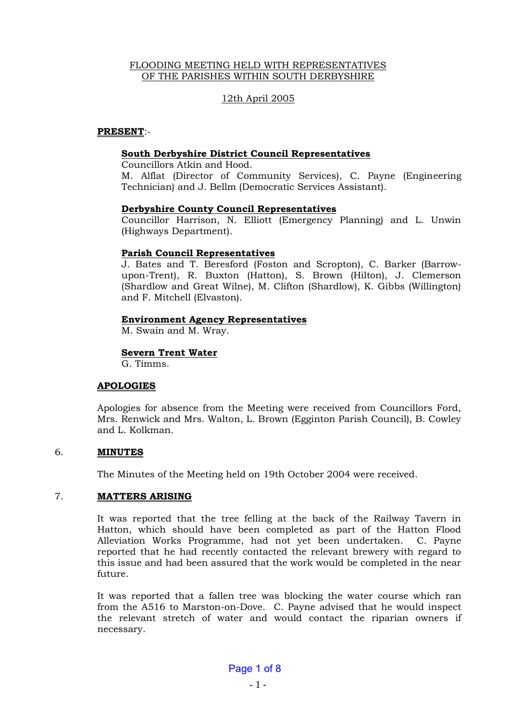### FLOODING MEETING HELD WITH REPRESENTATIVES OF THE PARISHES WITHIN SOUTH DERBYSHIRE

# 12th April 2005

### **PRESENT**:-

### **South Derbyshire District Council Representatives**

Councillors Atkin and Hood.

M. Alflat (Director of Community Services), C. Payne (Engineering Technician) and J. Bellm (Democratic Services Assistant).

#### **Derbyshire County Council Representatives**

Councillor Harrison, N. Elliott (Emergency Planning) and L. Unwin (Highways Department).

### **Parish Council Representatives**

J. Bates and T. Beresford (Foston and Scropton), C. Barker (Barrowupon-Trent), R. Buxton (Hatton), S. Brown (Hilton), J. Clemerson (Shardlow and Great Wilne), M. Clifton (Shardlow), K. Gibbs (Willington) and F. Mitchell (Elvaston).

### **Environment Agency Representatives**

M. Swain and M. Wray.

## **Severn Trent Water**

G. Timms.

## **APOLOGIES**

Apologies for absence from the Meeting were received from Councillors Ford, Mrs. Renwick and Mrs. Walton, L. Brown (Egginton Parish Council), B. Cowley and L. Kolkman.

## 6. **MINUTES**

The Minutes of the Meeting held on 19th October 2004 were received.

## 7. **MATTERS ARISING**

It was reported that the tree felling at the back of the Railway Tavern in Hatton, which should have been completed as part of the Hatton Flood Alleviation Works Programme, had not yet been undertaken. C. Payne reported that he had recently contacted the relevant brewery with regard to this issue and had been assured that the work would be completed in the near future.

It was reported that a fallen tree was blocking the water course which ran from the A516 to Marston-on-Dove. C. Payne advised that he would inspect the relevant stretch of water and would contact the riparian owners if necessary.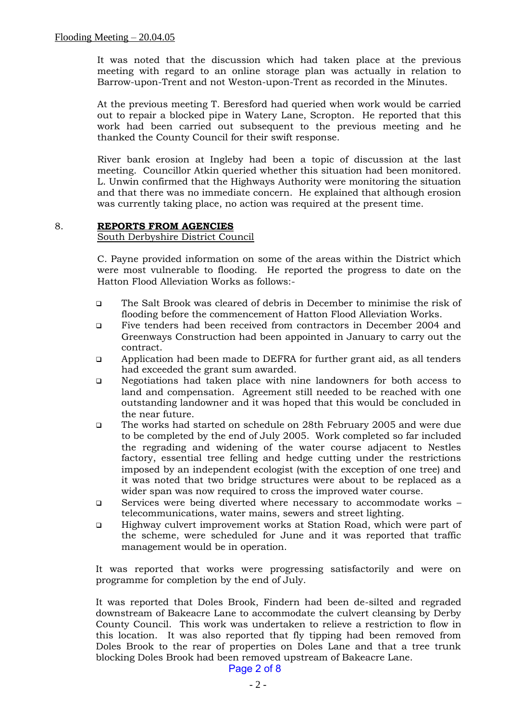It was noted that the discussion which had taken place at the previous meeting with regard to an online storage plan was actually in relation to Barrow-upon-Trent and not Weston-upon-Trent as recorded in the Minutes.

At the previous meeting T. Beresford had queried when work would be carried out to repair a blocked pipe in Watery Lane, Scropton. He reported that this work had been carried out subsequent to the previous meeting and he thanked the County Council for their swift response.

River bank erosion at Ingleby had been a topic of discussion at the last meeting. Councillor Atkin queried whether this situation had been monitored. L. Unwin confirmed that the Highways Authority were monitoring the situation and that there was no immediate concern. He explained that although erosion was currently taking place, no action was required at the present time.

### 8. **REPORTS FROM AGENCIES**

#### South Derbyshire District Council

C. Payne provided information on some of the areas within the District which were most vulnerable to flooding. He reported the progress to date on the Hatton Flood Alleviation Works as follows:-

- ❑ The Salt Brook was cleared of debris in December to minimise the risk of flooding before the commencement of Hatton Flood Alleviation Works.
- ❑ Five tenders had been received from contractors in December 2004 and Greenways Construction had been appointed in January to carry out the contract.
- ❑ Application had been made to DEFRA for further grant aid, as all tenders had exceeded the grant sum awarded.
- ❑ Negotiations had taken place with nine landowners for both access to land and compensation. Agreement still needed to be reached with one outstanding landowner and it was hoped that this would be concluded in the near future.
- ❑ The works had started on schedule on 28th February 2005 and were due to be completed by the end of July 2005. Work completed so far included the regrading and widening of the water course adjacent to Nestles factory, essential tree felling and hedge cutting under the restrictions imposed by an independent ecologist (with the exception of one tree) and it was noted that two bridge structures were about to be replaced as a wider span was now required to cross the improved water course.
- ❑ Services were being diverted where necessary to accommodate works telecommunications, water mains, sewers and street lighting.
- ❑ Highway culvert improvement works at Station Road, which were part of the scheme, were scheduled for June and it was reported that traffic management would be in operation.

It was reported that works were progressing satisfactorily and were on programme for completion by the end of July.

It was reported that Doles Brook, Findern had been de-silted and regraded downstream of Bakeacre Lane to accommodate the culvert cleansing by Derby County Council. This work was undertaken to relieve a restriction to flow in this location. It was also reported that fly tipping had been removed from Doles Brook to the rear of properties on Doles Lane and that a tree trunk blocking Doles Brook had been removed upstream of Bakeacre Lane.

Page 2 of 8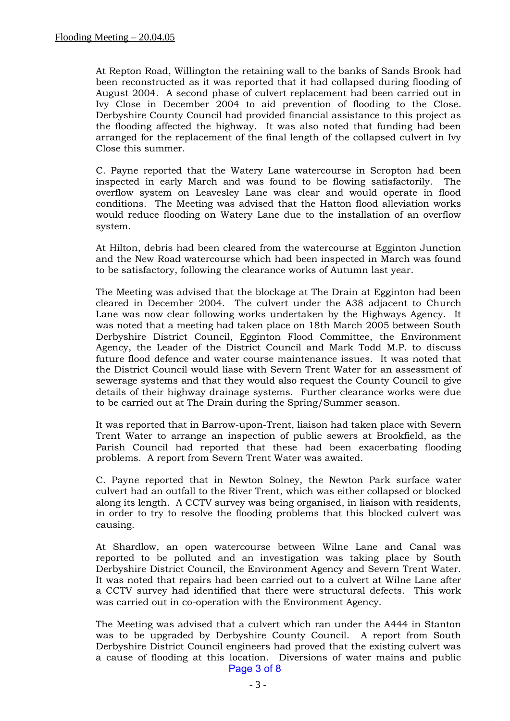At Repton Road, Willington the retaining wall to the banks of Sands Brook had been reconstructed as it was reported that it had collapsed during flooding of August 2004. A second phase of culvert replacement had been carried out in Ivy Close in December 2004 to aid prevention of flooding to the Close. Derbyshire County Council had provided financial assistance to this project as the flooding affected the highway. It was also noted that funding had been arranged for the replacement of the final length of the collapsed culvert in Ivy Close this summer.

C. Payne reported that the Watery Lane watercourse in Scropton had been inspected in early March and was found to be flowing satisfactorily. The overflow system on Leavesley Lane was clear and would operate in flood conditions. The Meeting was advised that the Hatton flood alleviation works would reduce flooding on Watery Lane due to the installation of an overflow system.

At Hilton, debris had been cleared from the watercourse at Egginton Junction and the New Road watercourse which had been inspected in March was found to be satisfactory, following the clearance works of Autumn last year.

The Meeting was advised that the blockage at The Drain at Egginton had been cleared in December 2004. The culvert under the A38 adjacent to Church Lane was now clear following works undertaken by the Highways Agency. It was noted that a meeting had taken place on 18th March 2005 between South Derbyshire District Council, Egginton Flood Committee, the Environment Agency, the Leader of the District Council and Mark Todd M.P. to discuss future flood defence and water course maintenance issues. It was noted that the District Council would liase with Severn Trent Water for an assessment of sewerage systems and that they would also request the County Council to give details of their highway drainage systems. Further clearance works were due to be carried out at The Drain during the Spring/Summer season.

It was reported that in Barrow-upon-Trent, liaison had taken place with Severn Trent Water to arrange an inspection of public sewers at Brookfield, as the Parish Council had reported that these had been exacerbating flooding problems. A report from Severn Trent Water was awaited.

C. Payne reported that in Newton Solney, the Newton Park surface water culvert had an outfall to the River Trent, which was either collapsed or blocked along its length. A CCTV survey was being organised, in liaison with residents, in order to try to resolve the flooding problems that this blocked culvert was causing.

At Shardlow, an open watercourse between Wilne Lane and Canal was reported to be polluted and an investigation was taking place by South Derbyshire District Council, the Environment Agency and Severn Trent Water. It was noted that repairs had been carried out to a culvert at Wilne Lane after a CCTV survey had identified that there were structural defects. This work was carried out in co-operation with the Environment Agency.

The Meeting was advised that a culvert which ran under the A444 in Stanton was to be upgraded by Derbyshire County Council. A report from South Derbyshire District Council engineers had proved that the existing culvert was a cause of flooding at this location. Diversions of water mains and public Page 3 of 8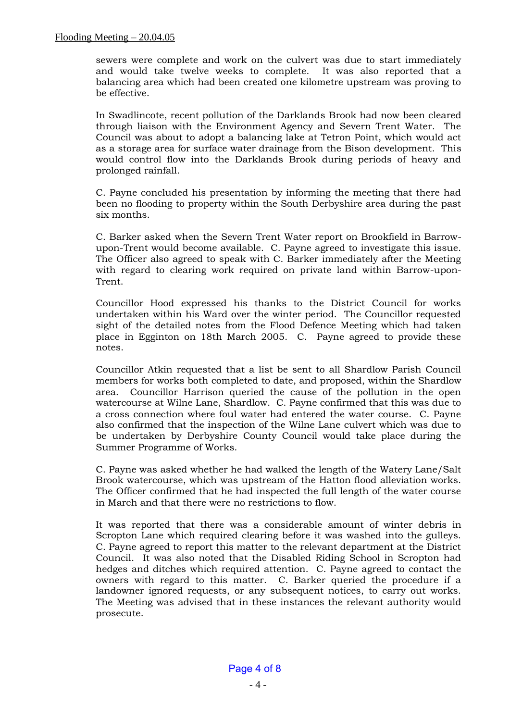sewers were complete and work on the culvert was due to start immediately and would take twelve weeks to complete. It was also reported that a balancing area which had been created one kilometre upstream was proving to be effective.

In Swadlincote, recent pollution of the Darklands Brook had now been cleared through liaison with the Environment Agency and Severn Trent Water. The Council was about to adopt a balancing lake at Tetron Point, which would act as a storage area for surface water drainage from the Bison development. This would control flow into the Darklands Brook during periods of heavy and prolonged rainfall.

C. Payne concluded his presentation by informing the meeting that there had been no flooding to property within the South Derbyshire area during the past six months.

C. Barker asked when the Severn Trent Water report on Brookfield in Barrowupon-Trent would become available. C. Payne agreed to investigate this issue. The Officer also agreed to speak with C. Barker immediately after the Meeting with regard to clearing work required on private land within Barrow-upon-Trent.

Councillor Hood expressed his thanks to the District Council for works undertaken within his Ward over the winter period. The Councillor requested sight of the detailed notes from the Flood Defence Meeting which had taken place in Egginton on 18th March 2005. C. Payne agreed to provide these notes.

Councillor Atkin requested that a list be sent to all Shardlow Parish Council members for works both completed to date, and proposed, within the Shardlow area. Councillor Harrison queried the cause of the pollution in the open watercourse at Wilne Lane, Shardlow. C. Payne confirmed that this was due to a cross connection where foul water had entered the water course. C. Payne also confirmed that the inspection of the Wilne Lane culvert which was due to be undertaken by Derbyshire County Council would take place during the Summer Programme of Works.

C. Payne was asked whether he had walked the length of the Watery Lane/Salt Brook watercourse, which was upstream of the Hatton flood alleviation works. The Officer confirmed that he had inspected the full length of the water course in March and that there were no restrictions to flow.

It was reported that there was a considerable amount of winter debris in Scropton Lane which required clearing before it was washed into the gulleys. C. Payne agreed to report this matter to the relevant department at the District Council. It was also noted that the Disabled Riding School in Scropton had hedges and ditches which required attention. C. Payne agreed to contact the owners with regard to this matter. C. Barker queried the procedure if a landowner ignored requests, or any subsequent notices, to carry out works. The Meeting was advised that in these instances the relevant authority would prosecute.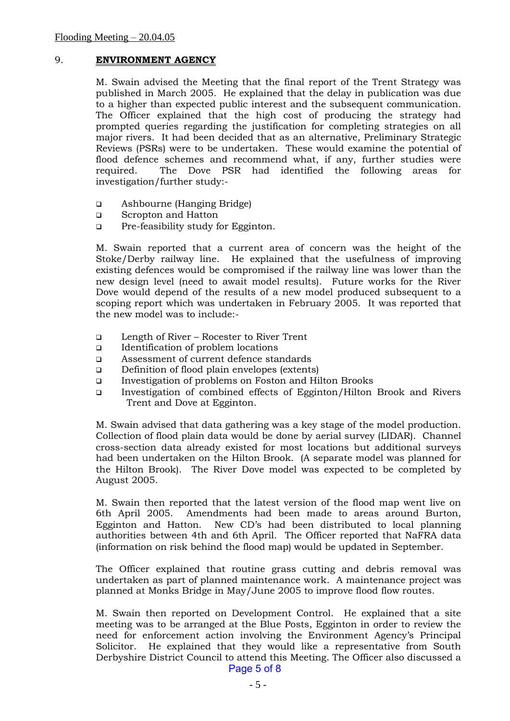# 9. **ENVIRONMENT AGENCY**

M. Swain advised the Meeting that the final report of the Trent Strategy was published in March 2005. He explained that the delay in publication was due to a higher than expected public interest and the subsequent communication. The Officer explained that the high cost of producing the strategy had prompted queries regarding the justification for completing strategies on all major rivers. It had been decided that as an alternative, Preliminary Strategic Reviews (PSRs) were to be undertaken. These would examine the potential of flood defence schemes and recommend what, if any, further studies were required. The Dove PSR had identified the following areas for investigation/further study:-

- ❑ Ashbourne (Hanging Bridge)
- ❑ Scropton and Hatton
- ❑ Pre-feasibility study for Egginton.

M. Swain reported that a current area of concern was the height of the Stoke/Derby railway line. He explained that the usefulness of improving existing defences would be compromised if the railway line was lower than the new design level (need to await model results). Future works for the River Dove would depend of the results of a new model produced subsequent to a scoping report which was undertaken in February 2005. It was reported that the new model was to include:-

- ❑ Length of River Rocester to River Trent
- ❑ Identification of problem locations
- ❑ Assessment of current defence standards
- ❑ Definition of flood plain envelopes (extents)
- ❑ Investigation of problems on Foston and Hilton Brooks
- ❑ Investigation of combined effects of Egginton/Hilton Brook and Rivers Trent and Dove at Egginton.

M. Swain advised that data gathering was a key stage of the model production. Collection of flood plain data would be done by aerial survey (LIDAR). Channel cross-section data already existed for most locations but additional surveys had been undertaken on the Hilton Brook. (A separate model was planned for the Hilton Brook). The River Dove model was expected to be completed by August 2005.

M. Swain then reported that the latest version of the flood map went live on 6th April 2005. Amendments had been made to areas around Burton, Egginton and Hatton. New CD's had been distributed to local planning authorities between 4th and 6th April. The Officer reported that NaFRA data (information on risk behind the flood map) would be updated in September.

The Officer explained that routine grass cutting and debris removal was undertaken as part of planned maintenance work. A maintenance project was planned at Monks Bridge in May/June 2005 to improve flood flow routes.

M. Swain then reported on Development Control. He explained that a site meeting was to be arranged at the Blue Posts, Egginton in order to review the need for enforcement action involving the Environment Agency's Principal Solicitor. He explained that they would like a representative from South Derbyshire District Council to attend this Meeting. The Officer also discussed a Page 5 of 8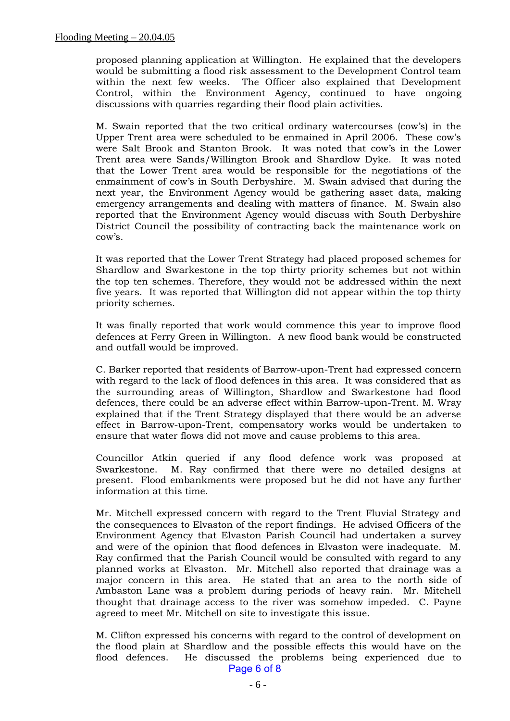proposed planning application at Willington. He explained that the developers would be submitting a flood risk assessment to the Development Control team within the next few weeks. The Officer also explained that Development Control, within the Environment Agency, continued to have ongoing discussions with quarries regarding their flood plain activities.

M. Swain reported that the two critical ordinary watercourses (cow's) in the Upper Trent area were scheduled to be enmained in April 2006. These cow's were Salt Brook and Stanton Brook. It was noted that cow's in the Lower Trent area were Sands/Willington Brook and Shardlow Dyke. It was noted that the Lower Trent area would be responsible for the negotiations of the enmainment of cow's in South Derbyshire. M. Swain advised that during the next year, the Environment Agency would be gathering asset data, making emergency arrangements and dealing with matters of finance. M. Swain also reported that the Environment Agency would discuss with South Derbyshire District Council the possibility of contracting back the maintenance work on cow's.

It was reported that the Lower Trent Strategy had placed proposed schemes for Shardlow and Swarkestone in the top thirty priority schemes but not within the top ten schemes. Therefore, they would not be addressed within the next five years. It was reported that Willington did not appear within the top thirty priority schemes.

It was finally reported that work would commence this year to improve flood defences at Ferry Green in Willington. A new flood bank would be constructed and outfall would be improved.

C. Barker reported that residents of Barrow-upon-Trent had expressed concern with regard to the lack of flood defences in this area. It was considered that as the surrounding areas of Willington, Shardlow and Swarkestone had flood defences, there could be an adverse effect within Barrow-upon-Trent. M. Wray explained that if the Trent Strategy displayed that there would be an adverse effect in Barrow-upon-Trent, compensatory works would be undertaken to ensure that water flows did not move and cause problems to this area.

Councillor Atkin queried if any flood defence work was proposed at Swarkestone. M. Ray confirmed that there were no detailed designs at present. Flood embankments were proposed but he did not have any further information at this time.

Mr. Mitchell expressed concern with regard to the Trent Fluvial Strategy and the consequences to Elvaston of the report findings. He advised Officers of the Environment Agency that Elvaston Parish Council had undertaken a survey and were of the opinion that flood defences in Elvaston were inadequate. M. Ray confirmed that the Parish Council would be consulted with regard to any planned works at Elvaston. Mr. Mitchell also reported that drainage was a major concern in this area. He stated that an area to the north side of Ambaston Lane was a problem during periods of heavy rain. Mr. Mitchell thought that drainage access to the river was somehow impeded. C. Payne agreed to meet Mr. Mitchell on site to investigate this issue.

M. Clifton expressed his concerns with regard to the control of development on the flood plain at Shardlow and the possible effects this would have on the flood defences. He discussed the problems being experienced due to Page 6 of 8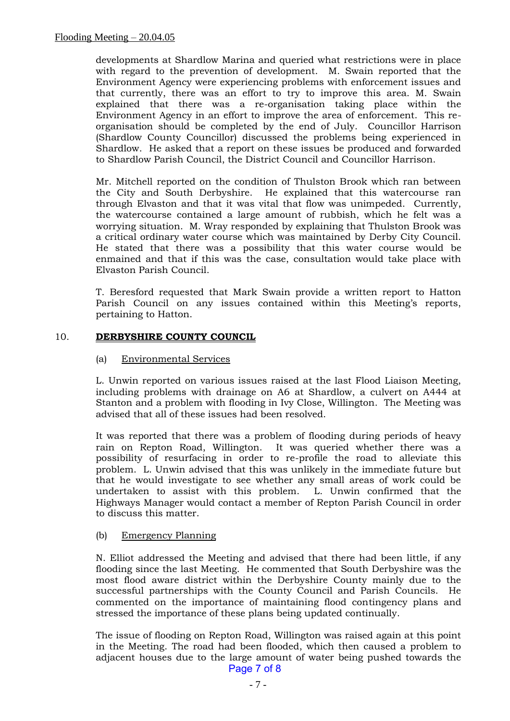developments at Shardlow Marina and queried what restrictions were in place with regard to the prevention of development. M. Swain reported that the Environment Agency were experiencing problems with enforcement issues and that currently, there was an effort to try to improve this area. M. Swain explained that there was a re-organisation taking place within the Environment Agency in an effort to improve the area of enforcement. This reorganisation should be completed by the end of July. Councillor Harrison (Shardlow County Councillor) discussed the problems being experienced in Shardlow. He asked that a report on these issues be produced and forwarded to Shardlow Parish Council, the District Council and Councillor Harrison.

Mr. Mitchell reported on the condition of Thulston Brook which ran between the City and South Derbyshire. He explained that this watercourse ran through Elvaston and that it was vital that flow was unimpeded. Currently, the watercourse contained a large amount of rubbish, which he felt was a worrying situation. M. Wray responded by explaining that Thulston Brook was a critical ordinary water course which was maintained by Derby City Council. He stated that there was a possibility that this water course would be enmained and that if this was the case, consultation would take place with Elvaston Parish Council.

T. Beresford requested that Mark Swain provide a written report to Hatton Parish Council on any issues contained within this Meeting's reports, pertaining to Hatton.

### 10. **DERBYSHIRE COUNTY COUNCIL**

### (a) Environmental Services

L. Unwin reported on various issues raised at the last Flood Liaison Meeting, including problems with drainage on A6 at Shardlow, a culvert on A444 at Stanton and a problem with flooding in Ivy Close, Willington. The Meeting was advised that all of these issues had been resolved.

It was reported that there was a problem of flooding during periods of heavy rain on Repton Road, Willington. It was queried whether there was a possibility of resurfacing in order to re-profile the road to alleviate this problem. L. Unwin advised that this was unlikely in the immediate future but that he would investigate to see whether any small areas of work could be undertaken to assist with this problem. L. Unwin confirmed that the Highways Manager would contact a member of Repton Parish Council in order to discuss this matter.

## (b) Emergency Planning

N. Elliot addressed the Meeting and advised that there had been little, if any flooding since the last Meeting. He commented that South Derbyshire was the most flood aware district within the Derbyshire County mainly due to the successful partnerships with the County Council and Parish Councils. He commented on the importance of maintaining flood contingency plans and stressed the importance of these plans being updated continually.

The issue of flooding on Repton Road, Willington was raised again at this point in the Meeting. The road had been flooded, which then caused a problem to adjacent houses due to the large amount of water being pushed towards the Page 7 of 8